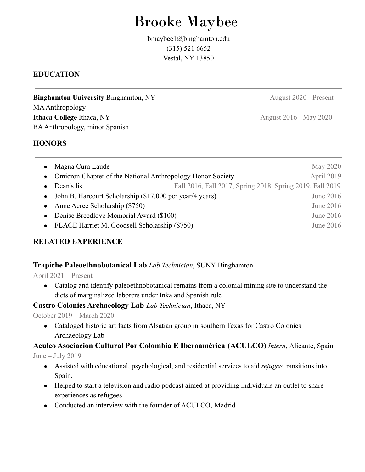# Brooke Maybee

bmaybee1@binghamton.edu (315) 521 6652 Vestal, NY 13850

# **EDUCATION**

**Binghamton University Binghamton, NY** August 2020 - Present MA Anthropology **Ithaca College** Ithaca, NY August 2016 - May 2020 BAAnthropology, minor Spanish

#### **HONORS**

• Magna Cum Laude May 2020 • Omicron Chapter of the National Anthropology Honor Society April 2019 • Dean's list Fall 2016, Fall 2017, Spring 2018, Spring 2019, Fall 2019 • John B. Harcourt Scholarship (\$17,000 per year/4 years) June 2016 • Anne Acree Scholarship (\$750) June 2016 • Denise Breedlove Memorial Award (\$100) June 2016 • FLACE Harriet M. Goodsell Scholarship (\$750) June 2016

# **RELATED EXPERIENCE**

## **Trapiche Paleoethnobotanical Lab** *Lab Technician*, SUNY Binghamton

April 2021 – Present

• Catalog and identify paleoethnobotanical remains from a colonial mining site to understand the diets of marginalized laborers under Inka and Spanish rule

## **Castro Colonies Archaeology Lab** *Lab Technician*, Ithaca, NY

#### October 2019 – March 2020

• Cataloged historic artifacts from Alsatian group in southern Texas for Castro Colonies Archaeology Lab

## **Aculco Asociación Cultural Por Colombia E Iberoamérica (ACULCO)** *Intern*, Alicante, Spain

June – July 2019

- Assisted with educational, psychological, and residential services to aid *refugee* transitions into Spain.
- Helped to start a television and radio podcast aimed at providing individuals an outlet to share experiences as refugees
- Conducted an interview with the founder of ACULCO, Madrid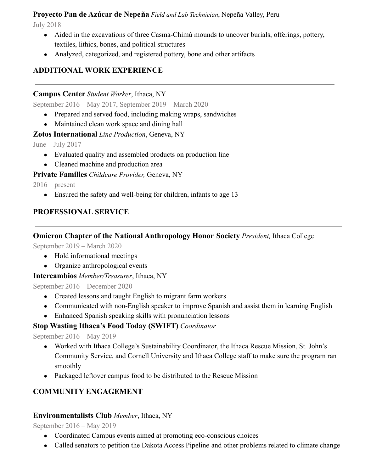# **Proyecto Pan de Azúcar de Nepeña** *Field and Lab Technician*, Nepeña Valley, Peru

July 2018

- Aided in the excavations of three Casma-Chimú mounds to uncover burials, offerings, pottery, textiles, lithics, bones, and political structures
- Analyzed, categorized, and registered pottery, bone and other artifacts

# **ADDITIONAL WORK EXPERIENCE**

## **Campus Center** *Student Worker*, Ithaca, NY

September 2016 – May 2017, September 2019 – March 2020

- Prepared and served food, including making wraps, sandwiches
- Maintained clean work space and dining hall

## **Zotos International** *Line Production*, Geneva, NY

June – July 2017

- Evaluated quality and assembled products on production line
- Cleaned machine and production area

## **Private Families** *Childcare Provider,* Geneva, NY

 $2016$  – present

• Ensured the safety and well-being for children, infants to age 13

# **PROFESSIONAL SERVICE**

# **Omicron Chapter of the National Anthropology Honor Society** *President,* Ithaca College

September 2019 – March 2020

- **●** Hold informational meetings
- **●** Organize anthropological events

## **Intercambios** *Member/Treasurer*, Ithaca, NY

September 2016 – December 2020

- Created lessons and taught English to migrant farm workers
- Communicated with non-English speaker to improve Spanish and assist them in learning English
- Enhanced Spanish speaking skills with pronunciation lessons

# **Stop Wasting Ithaca's Food Today (SWIFT)** *Coordinator*

September 2016 – May 2019

- Worked with Ithaca College's Sustainability Coordinator, the Ithaca Rescue Mission, St. John's Community Service, and Cornell University and Ithaca College staff to make sure the program ran smoothly
- **●** Packaged leftover campus food to be distributed to the Rescue Mission

# **COMMUNITY ENGAGEMENT**

# **Environmentalists Club** *Member*, Ithaca, NY

September 2016 – May 2019

- Coordinated Campus events aimed at promoting eco-conscious choices
- Called senators to petition the Dakota Access Pipeline and other problems related to climate change